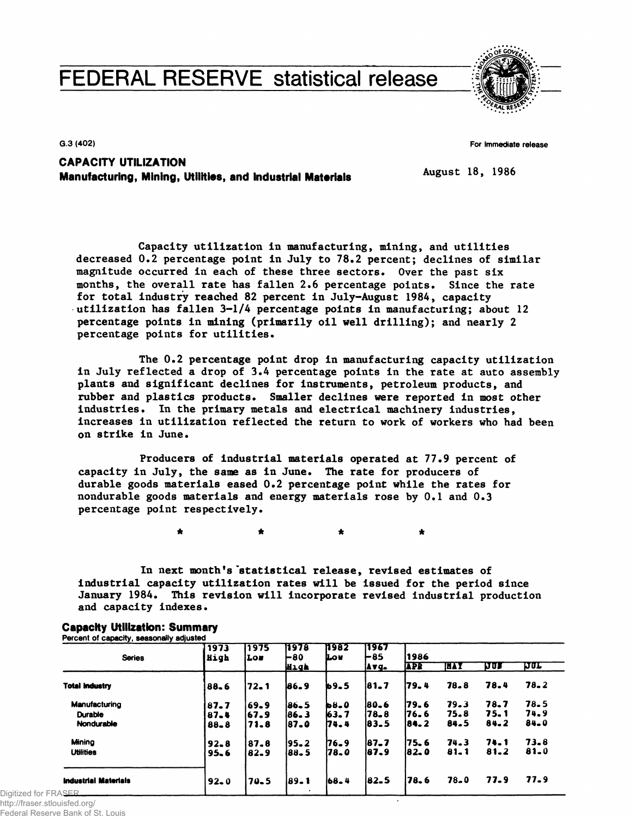# **FEDERAL RESERVE statistical release**



**G.3 (402)** 

**For Immediate release** 

## **CAPACITY UTILIZATION Manufacturing, Mining, Utilities, and Industrial Materials**

**August 18, 1986** 

 $\bullet$ 

**Capacity utilization in manufacturing, mining, and utilities decreased 0.2 percentage point in July to 78.2 percent; declines of similar magnitude occurred in each of these three sectors. Over the past six months, the overall rate has fallen 2.6 percentage points. Since the rate for total industry reached 82 percent in July-August 1984, capacity utilization has fallen 3-1/4 percentage points in manufacturing; about 12 percentage points in mining (primarily oil well drilling); and nearly 2 percentage points for utilities.** 

**The 0.2 percentage point drop in manufacturing capacity utilization in July reflected a drop of 3.4 percentage points in the rate at auto assembly plants and significant declines for instruments, petroleum products, and rubber and plastics products. Smaller declines were reported in most other industries. In the primary metals and electrical machinery industries, increases in utilization reflected the return to work of workers who had been on strike in June.** 

**Producers of industrial materials operated at 77.9 percent of capacity in July, the same as in June. The rate for producers of durable goods materials eased 0.2 percentage point while the rates for nondurable goods materials and energy materials rose by 0.1 and 0.3 percentage point respectively.** 

 $\bullet$ 

**In next month's 'statistical release, revised estimates of industrial capacity utilization rates will be issued for the period since January 1984. This revision will incorporate revised Industrial production and capacity indexes.** 

| <b>Series</b>               | 1973<br>High | 1975<br>i Los | 11978<br>180 | 11982<br>Lov | 11967<br>⊢85<br>Avg. | 1986       |            |          |            |  |  |
|-----------------------------|--------------|---------------|--------------|--------------|----------------------|------------|------------|----------|------------|--|--|
|                             |              |               | High         |              |                      | <b>APR</b> | <b>HAY</b> | na.      | <u>har</u> |  |  |
| <b>Total Industry</b>       | 88.6         | 72.1          | 86.9         | b9.5         | 181.7                | 179.4      | 78.8       | 78.4     | $78 - 2$   |  |  |
| Manufacturing               | 87.7         | 69.9          | 186.5        | b8_0         | 180-6                | 179.6      | 79.3       | 78.7     | 78.5       |  |  |
| <b>Durable</b>              | 87.4         | 67.9          | 186.3        | 163.7        | 178_8                | 176.6      | 75.8       | 75. 1    | 74.9       |  |  |
| Nondurable                  | 88.8         | 71.8          | 187.0        | 174.4        | 183.5                | 184.2      | 84.5       | $84 - 2$ | 84.0       |  |  |
| Mining                      | $92 - 8$     | 87.8          | 195.2        | 176.9        | $187 - 7$            | 75.6       | 74.3       | 74.1     | 73.8       |  |  |
| <b>Utilities</b>            | $95 - 6$     | 82.9          | 188.5        | 178.O        | 187.9                | 182.O      | $81 - 1$   | $81 - 2$ | 81.0       |  |  |
| <b>Industrial Materials</b> | $92 - 0$     | 70.5          | 189.1        | $168 - 4$    | 82.5                 | 178.6      | 78.0       | 77.9     | 77.9       |  |  |

### **Capacity Utilization: Summary Percent of capacity, seasonally adjusted**

 $\bullet$ 

Digitized for FRASI http://fraser.stlouisfed.org/

Federal Reserve Bank of St. Louis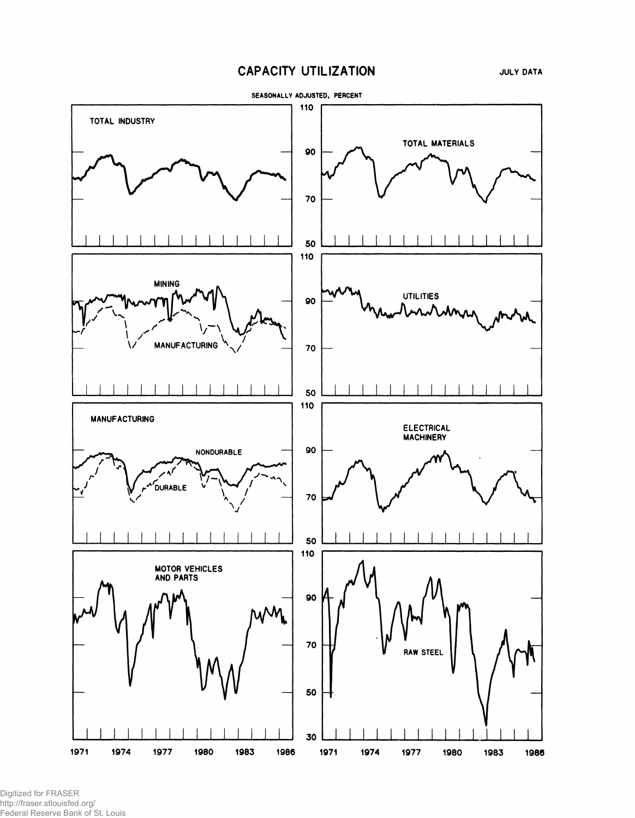# **CAPACITY UTILIZATION**



Digitized for FRASER http://fraser.stlouisfed.org/ Federal Reserve Bank of St. Louis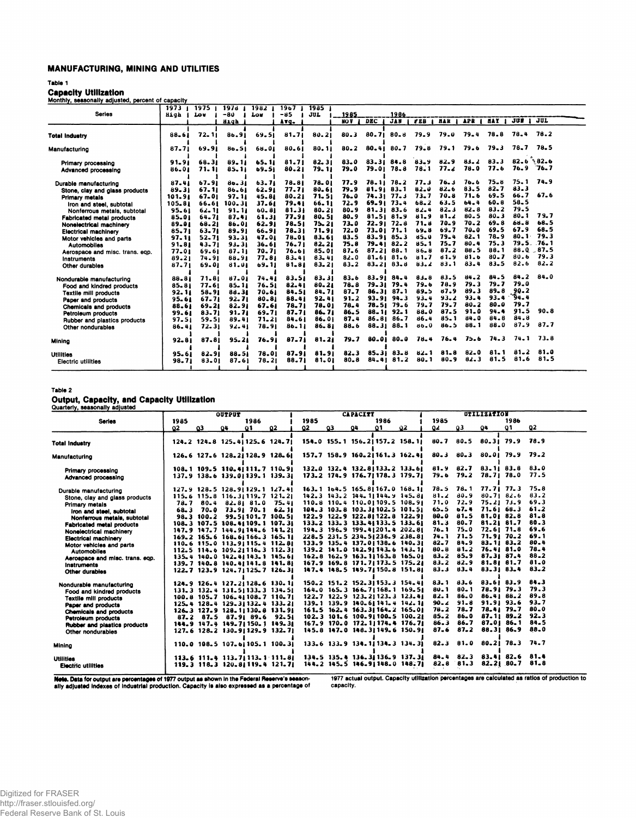### **MANUFACTURING, MINING AND UTILITIES**

### **Table 1**

**Capacity Utilization**<br><u>Monthly, seasonally adjusted, percent of capacity</u>

|                                  |           | 1973 1 1975 1 |           | $1970$ 1982 1 | $1967$ T  | 19851     |          |            |                  |          |            |            |            |          |               |  |
|----------------------------------|-----------|---------------|-----------|---------------|-----------|-----------|----------|------------|------------------|----------|------------|------------|------------|----------|---------------|--|
| <b>Series</b>                    | High      | Lou           | $-80$     | Low           | $-85$     | JUL       | 1985     |            | 1986             |          |            |            |            |          |               |  |
|                                  |           |               | High      |               | Avg.      |           | NO V     | <b>DEC</b> | <b>JAN</b>       | FEB 1    | <b>HAR</b> | <b>APR</b> | <b>HAY</b> | JUN I    | JUL           |  |
|                                  |           |               |           |               |           |           |          |            |                  |          |            |            |            |          |               |  |
| Total Industry                   | 88-61     | $72 - 11$     | 86.91     | 69.51         | $81 - 71$ | 80.21     | $80 - 3$ | 80.71      | $80 - 8$         | 79.9     | 79.0       | $79 - 4$   | 78.8       | 78.4     | 78.2          |  |
| Manufacturing                    | $87 - 71$ | 69.91         | 80.51     | 66.01         | 80.61     | 80.11     | $80 - 2$ | 80.41      | $80 - 7$         | 79.8     | 79.1       | 79.6       | 79.3       | 78.7     | 78.5          |  |
| Primary processing               | 91.91     | 68.31         | 89.11     | 65.11         | 81.71     | 82.31     | 83.0     | 83.31 84.8 |                  | 83.9     | 82.9       | $83 - 2$   | 83.3       |          | $82.6$ 82.6   |  |
| Advanced processing              | 86.01     | 71.11         | 85.11     | 69.51         | $80 - 21$ | 79.11     | 79.0     |            | 79.01 78.8       | 78.1     | 77.2       | 78.0       | 77.6       |          | $76.9$ $76.7$ |  |
| Durable manufacturing            | 87.41     | 67.91         | 80.31     | 63.71         | 78.81     | 78.01     | 77.9     |            | $78.11$ $78.2$   | 77.3     | 76.3       | 76.6       | $75 - 8$   | 75.1     | 74.9          |  |
| Stone, clay and glass products   | 89.31     | 67.11         | 86.61     | 62.91         | 77.71     | 80.61     | 79.9     | 81.91 83.1 |                  | 82.0     | 82.6       | 83.5       | $82 - 7$   | $83 - 3$ |               |  |
| Primary metals                   | 101.91    | 67.01         | 97.11     | 45.81         | 80.21     | 71.51     | $76 - 0$ | 74.31 77.3 |                  | 73.7     | 70.8       | 71.6       | 69.5       | 66.7     | 67.6          |  |
| Iron and steel, subtotal         | 105.81    | 66.61         | 100.31    | 37.61         | 79.41     | 66.11     | 72.9     |            | 69.91 73.4       | $68 - 2$ | 63.5       | 64.4       | 60.8       | $58 - 5$ |               |  |
| Nonferrous metals, subtotal      | 95.61     | $62 - 11$     | $91 - 11$ | $60 - 81$     | 81.31     | $80 - 21$ | $80 - 9$ |            | 81.3183.6        | $82 - 4$ | $82 - 3$   | $82 - 8$   | 83.2       | 79.5     |               |  |
| <b>Fabricated metal products</b> | 85.01     | 64.71         | 87.41     | 61.31         | 77.91     | 80.51     | 80.9     |            | $81 - 51 81 - 9$ | 81.9     | 81.2       | $80 - 5$   | $80 - 3$   | $80 - 1$ | 79.7          |  |
| Nonelectrical machinery          | 89.01     | 68.21         | 86.01     | 62.91         | 78.51     | $75 - 21$ | 73.0     |            | 72.9172.8        | 71.8     | 70.9       | 70.2       | $69 - 8$   | 68.8     | 68.5          |  |
| <b>Electrical machinery</b>      | $85 - 71$ | $63 - 71$     | 89.91     | 66.91         | 78.31     | 71.91     | 72.0     |            | 73.0171.1        | 69.8     | 69.7       | 70.0       | 69.5       | 67.9     | 68.5          |  |
| Motor vehicles and parts         | 97.11     | $52 - 71$     | 93.31     | 47.01         | 78.01     | 83.61     | 83.5     |            | $83 - 91 85 - 3$ | $85 - 0$ | $79 - 4$   | $82 - 1$   | 78.9       | $80 - 1$ | 79.3          |  |
| <b>Automobiles</b>               | 91.81     | 43.71         | $93 - 31$ | $36 - 61$     | 76.71     | 82.21     | 75.8     |            | $79 - 41 82 - 2$ | 85.1     | 75.7       | 80.4       | 75.3       |          | 79.5. 76.1    |  |
| Aerospace and misc. trans. eqp.  | 77.01     | 69.61         | 87.11     | 70.71         | 76.61     | 85.01     | $87 - 6$ |            | $87.21$ $88.1$   | $86 - 8$ | 87.2       | 88.5       | 88.1       |          | 88.0.87.5     |  |
| <b>Instruments</b>               | 89.21     | 74.91         | 88.91     | 77.81         | $83 - 41$ | $83 - 41$ | 82.0     |            | 81.61 81.6       | 81.7     | 81.9       | 81.6       | $80 - 7$   | 80.6     | 79.3          |  |
| Other durables                   | 87.71     | 69.01         | 81.01     | 69.11         | 81.81     | $83 - 21$ | 83.2     |            | $83.21$ $83.8$   | 83.2     | 83.1       | $83 - 4$   | 83.5       | 82.6     | $82 - 2$      |  |
|                                  |           |               |           |               |           |           |          |            |                  |          |            |            |            |          |               |  |
| Nondurable manufacturing         | 88.81     | 71.81         | 87.01     | 74.41         | 83.51     | 83.31     | 83.6     |            | 83.91 84.4       | 83.8     | 83.5       | 84.2       | 84.5       | $84 - 2$ | 84.0          |  |
| Food and kindred products        | 85.81     | 77.61         | 85.11     | 76.51         | 82.41     | 80.21     | 78.8     |            | $79.31$ $79.4$   | 79.6     | 78.9       | 79.3       | 79.7       | 79.0     |               |  |
| <b>Textile mill products</b>     | 92.11     | 58.91         | 88.31     | 70.61         | 84.51     | 84.71     | 87.7     |            | 86.31 87.1       | 89.5     | 87.9       | 89.3       | $89 - 8$   | $90 - 2$ |               |  |
| Paper and products               | 95.61     | $67 - 71$     | 92.71     | 80.81         | 88.41     | 92.41     | $91 - 2$ |            | $93.91$ $94.3$   | $93 - 4$ | 93.2       | 93.4       | $93 - 4$   | 94.4     |               |  |
| Chemicals and products           | 88.61     | 69.21         | 82.91     | 67.61         | 78.71     | 78.01     | 78.4     |            | $78.51$ $79.6$   | 79.7     | 79.7       | $80 - 2$   | $80 - 0$   | 79.7     |               |  |
| Petroleum products               | 99.61     | $83 - 71$     | 91.71     | 69.71         | $87 - 71$ | 86.71     | 86.5     |            | 88.11 92.1       | 88.0     | 87.5       | $91 - 0$   | 94.4       | 91.5     | 90.8          |  |
| Rubber and plastics products     | 97.51     | 59.51         | 89.41     | 71.21         | 84.61     | 86.01     | 87.4     |            | 86.81 86.7       | 86.4     | $85 - 1$   | 84.0       | 84.8       | 84.8     |               |  |
| Other nondurables                | $86 - 41$ | 72.31         | 92.41     | 78.91         | 86.11     | 86.81     | $88 - 6$ |            | 88.31 88.1       | 80.0     | 86.5       | 88.1       | 88.0       | 87.9     | 87.7          |  |
| Mining                           | $92 - 81$ | 87.81         | $95 - 21$ | 76.91         | $87 - 71$ | 81.21     | 79.7     | 80.01      | 80.0             | $78 - 4$ | 76.4       | 75.6       | 74.3       | $74 - 1$ | 73.8          |  |
| <b>Utilities</b>                 | 95.61     | 82.91         | 88.51     | 78.01         | 87.91     | 81.91     | $82 - 3$ |            | $85 - 31 83 - 8$ | $82 - 1$ | $81 - 8$   | 82.0       | $81 - 1$   | $81 - 2$ | 81.0          |  |
| <b>Electric utilities</b>        | 98.71     | 83.01         | 87.61     | 78.21         | 88.71     | 81.01     | $80 - 8$ |            | $84 - 41 81 - 2$ | $80 - 1$ | $80 - 9$   | $82 - 3$   | 81.5       | 81.6     | 81.5          |  |
|                                  |           |               |           |               |           |           |          |            |                  |          |            |            |            |          |               |  |

### **Table 2**

**Output, Capacity, and Capacity Utilization** 

| Quarterly, seasonally adjusted   |          |                |               |            |                                  |    |                                 |    |            |                                 |          |                             |                    |                    |          |  |  |
|----------------------------------|----------|----------------|---------------|------------|----------------------------------|----|---------------------------------|----|------------|---------------------------------|----------|-----------------------------|--------------------|--------------------|----------|--|--|
|                                  |          |                | <b>OUTPUT</b> |            |                                  |    | <b>CAPACITY</b><br>1985<br>1986 |    |            |                                 |          | UTILIZATION<br>1985<br>1986 |                    |                    |          |  |  |
| <b>Series</b>                    | 1985     |                |               | 1986       |                                  |    |                                 |    |            |                                 |          |                             |                    |                    | 02       |  |  |
|                                  | 02       | Q3             | 04            | $^{\circ}$ | 02                               | 02 | Q3                              | 94 | $^{\circ}$ | 92                              | ٥z       | 03                          | 04                 | 01                 |          |  |  |
| <b>Total Industry</b>            |          |                |               |            | 124.2 124.8 125.41125.6 124.71   |    |                                 |    |            | 154.0 155.1 156.21157.2 158.11  | $80 - 7$ | $80 - 5$                    | $80 - 31$ 79.9     |                    | 78.9     |  |  |
| Manufacturing                    |          |                |               |            | 126.6 127.6 128.21128.9 128.61   |    |                                 |    |            | 157.7 158.9 160.21161.3 162.41  | $80 - 3$ | $80 - 3$                    |                    | 80.01 79.9 79.2    |          |  |  |
| Primary processing               |          |                |               |            | 108.1 109.5 110.41111.7 110.91   |    |                                 |    |            | 132.0 132.4 132.81133.2 133.61  | 81.9     | 82.7                        | $83 - 11$ $83 - 8$ |                    | 83.0     |  |  |
| Advanced processing              |          |                |               |            | 137.9 138.6 139.01139.1 139.31   |    |                                 |    |            | 173.2 174.9 176.71 178.3 179.71 | 79.6     | 79.2                        | 78.71 78.0         |                    | 77.5     |  |  |
| Durable manufacturing            |          |                |               |            | 127.9 128.5 128.9 129.1 127.4    |    |                                 |    |            | 163.1 164.5 165.81167.0 168.11  | 78.5     | 78.1                        | $77.71$ $77.3$     |                    | 75.8     |  |  |
| Stone, clay and glass products   |          |                |               |            | $115.6$ 115.8 116.3(119.7 121.2) |    |                                 |    |            | 142.3 143.2 144.11144.9 145.81  | 81.2     | 80.9                        | $80 - 71$ $82 - 6$ |                    | 83.2     |  |  |
| <b>Primary metals</b>            | 78.7     | 80.4           |               | 82.81 81.0 | 75.41                            |    |                                 |    |            | 110.8 110.4 110.01109.5 108.91  | 71.0     | 72.9                        | $75.21$ $73.9$     |                    | 69.3     |  |  |
| Iron and steel, subtotal         | $68 - 3$ | 70.0           |               | 73.91 70.1 | 62.11                            |    |                                 |    |            | 104.3 103.8 103.31102.5 101.51  | $65 - 5$ | b7.4                        | 71.6168.3          |                    | 61.2     |  |  |
| Nonferrous metals, subtotal      |          | $98.3$ $100.2$ |               |            | 99.51101.7 100.51                |    |                                 |    |            | 122.9 122.9 122.81122.8 122.91  | $80 - 0$ | 81.5                        | 81.01 82.8         |                    | 81.8     |  |  |
| <b>Fabricated metal products</b> |          |                |               |            | 108.3 107.5 108.41109.1 107.31   |    |                                 |    |            | 133.2 133.3 133.4 133.5 133.61  | $81 - 3$ | $80 - 7$                    | $81.21$ $81.7$     |                    | 80.3     |  |  |
| Nonelectrical machinery          |          |                |               |            | 147.9 147.7 144.91144.6 141.21   |    |                                 |    |            | 194.3 196.9 199.41201.4 202.81  | 76.1     | 75.0                        | $72.61$ $71.8$     |                    | 69.6     |  |  |
| <b>Electrical machinery</b>      |          |                |               |            | 169.2 165.6 168.61166.3 165.11   |    |                                 |    |            | 228.5 231.5 234.51236.9 238.81  | 74.1     | 71.5                        |                    | 71.91 70.2         | 69.1     |  |  |
| Motor vehicles and parts         |          |                |               |            | 110.6 115.0 113.9 115.4 112.8    |    |                                 |    |            | 133.9 135.4 137.01138.6 140.31  | $82 - 7$ | 84.9                        |                    | $83.11$ $83.2$     | 80.4     |  |  |
| <b>Automobiles</b>               |          |                |               |            | $112.5$ 114.6 109.21116.3 112.31 |    |                                 |    |            | 139.2 141.0 142.9 143.6 143.1   | $80 - 8$ | $81 - 2$                    | 76.4131.0          |                    | 78.4     |  |  |
| Aerospace and misc. trans. eqp.  |          |                |               |            | 135.4 140.0 142.4 143.1 145.6    |    |                                 |    |            | 162.8 162.9 163.11163.8 165.01  | $83 - 2$ | 85.9                        | 87.31 87.4         |                    | $88 - 2$ |  |  |
| Instruments                      |          |                |               |            | 139.7 140.8 140.41141.8 141.81   |    |                                 |    |            | 167.9 169.8 171.7 173.5 175.21  | $83 - 2$ | 82.9                        |                    | 81.81 81.7         | 81.0     |  |  |
| Other durables                   |          |                |               |            | 122.7 123.9 124.7 125.7 126.31   |    |                                 |    |            | 147.4 148.5 149.7/150.8 151.8/  | 83.3     | 83.4                        | 83.31 83.4         |                    | $83 - 2$ |  |  |
|                                  |          |                |               |            | 124.9 126.4 127.21128.6 130.11   |    |                                 |    |            | 150-2 151-2 152-31153-3 154-41  | $83 - 1$ | $83 - 6$                    | 83.61 83.9         |                    | 84.3     |  |  |
| Nondurable manufacturing         |          |                |               |            | 131.3 132.4 131.51133.3 134.51   |    |                                 |    |            | 164.0 165.3 166.71168.1 169.51  | $80 - 1$ | $80 - 1$                    | 78.91 79.3         |                    | 79.3     |  |  |
| Food and kindred products        |          |                |               |            | 100.8 105.7 106.41108.7 110.71   |    |                                 |    |            | 122.7 122.9 123.21123.3 123.41  | $82 - 1$ | 86.0                        |                    | 86.41 88.2         | 89.8     |  |  |
| <b>Textile mill products</b>     |          |                |               |            | 125.4 128.4 129.31132.4 133.21   |    |                                 |    |            | 139-1 139-9 140-61141-4 142-11  | $90 - 2$ | $91 - 8$                    | 91.91 93.6         |                    | 93.7     |  |  |
| Paper and products               |          |                |               |            | 126-3 127-9 128-11130-8 131-91   |    |                                 |    |            | 161.5 162.4 163.31164.2 165.01  | 78.2     | 78.7                        |                    | 78.41 79.7         | $80 - 0$ |  |  |
| <b>Chemicals and products</b>    |          |                |               |            | 87.2 87.5 87.91 89.6 92.51       |    |                                 |    |            | 102.3 101.6 100.91100.5 100.21  | $85 - 2$ | 86.0                        |                    | 87.11 89.2         | $92 - 3$ |  |  |
| Petroleum products               |          |                |               |            | 144.9 147.4 149.7  150.1 149.3   |    |                                 |    |            | 167.9 170.0 172.11174.4 176.71  | 86.3     | 86.7                        |                    | 87.01 86.1         | 84.5     |  |  |
| Rubber and plastics products     |          |                |               |            | 127.6 128.2 130.91129.9 132.71   |    |                                 |    |            | 145.8 147.0 148.31149.6 150.91  | $87 - 6$ | $87 - 2$                    | 88.31 86.9         |                    | 88.0     |  |  |
| Other nondurables                |          |                |               |            |                                  |    |                                 |    |            |                                 |          |                             |                    |                    |          |  |  |
| Mining                           |          |                |               |            | 110.0 108.5 107.61105.1 100.31   |    |                                 |    |            | 133.6 133.9 134.1/134.3 134.31  | $82 - 3$ | 81.0                        | 80.21              | 78.3               | 74.7     |  |  |
| <b>Utilities</b>                 |          |                |               |            | 113.6 111.4 113.7 113.1 111.8    |    |                                 |    |            | 134.5 135.4 136.31136.9 137.31  | 84.4     | $82 - 3$                    |                    | 83.41 82.6 81.4    |          |  |  |
| Electric utilities               |          |                |               |            | 119.3 118.3 120.8 119.4 121.7    |    |                                 |    |            | 144.2 145.5 146.9 148.0 148.7   | 82,8     | 81.3                        |                    | $82 - 21$ $80 - 7$ | 81.8     |  |  |
|                                  |          |                |               |            |                                  |    |                                 |    |            |                                 |          |                             |                    |                    |          |  |  |

**Nets. Data for output are percentages of 1977 output as shown in the Federal Reserve's seasonally adjusted indexes of industrial production. Capacity is also expressed as a percentage of** 

1977 actual output. Capacity utilization percentages are calculated as ratios of production to capacity.